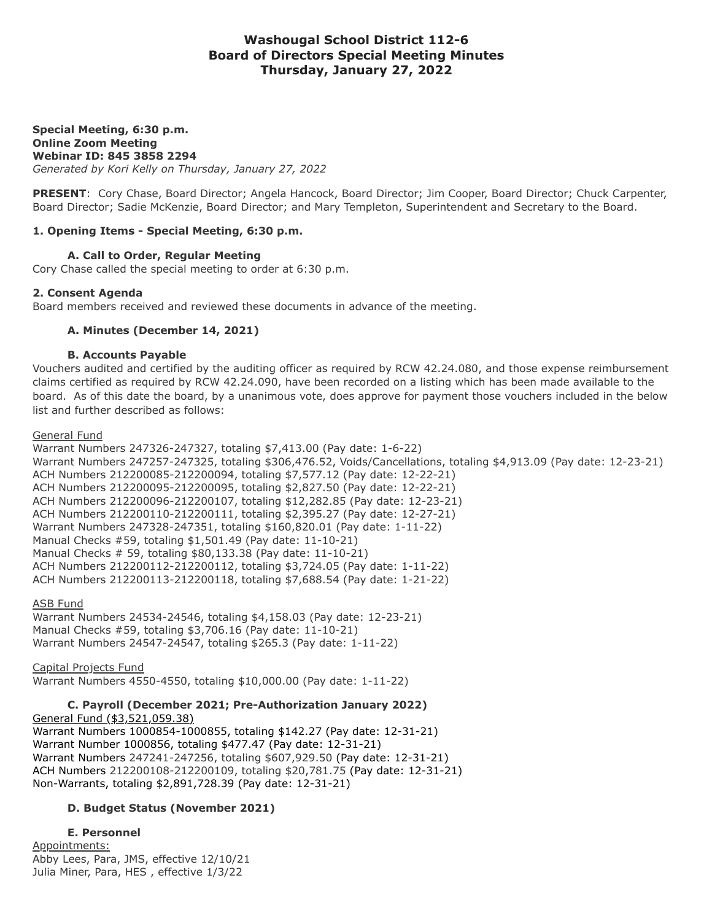# **Washougal School District 112-6 Board of Directors Special Meeting Minutes Thursday, January 27, 2022**

#### **Special Meeting, 6:30 p.m. Online Zoom Meeting Webinar ID: 845 3858 2294** *Generated by Kori Kelly on Thursday, January 27, 2022*

**PRESENT**: Cory Chase, Board Director; Angela Hancock, Board Director; Jim Cooper, Board Director; Chuck Carpenter, Board Director; Sadie McKenzie, Board Director; and Mary Templeton, Superintendent and Secretary to the Board.

## **1. Opening Items - Special Meeting, 6:30 p.m.**

# **A. Call to Order, Regular Meeting**

Cory Chase called the special meeting to order at 6:30 p.m.

### **2. Consent Agenda**

Board members received and reviewed these documents in advance of the meeting.

## **A. Minutes (December 14, 2021)**

### **B. Accounts Payable**

Vouchers audited and certified by the auditing officer as required by RCW 42.24.080, and those expense reimbursement claims certified as required by RCW 42.24.090, have been recorded on a listing which has been made available to the board. As of this date the board, by a unanimous vote, does approve for payment those vouchers included in the below list and further described as follows:

### General Fund

Warrant Numbers 247326-247327, totaling \$7,413.00 (Pay date: 1-6-22) Warrant Numbers 247257-247325, totaling \$306,476.52, Voids/Cancellations, totaling \$4,913.09 (Pay date: 12-23-21) ACH Numbers 212200085-212200094, totaling \$7,577.12 (Pay date: 12-22-21) ACH Numbers 212200095-212200095, totaling \$2,827.50 (Pay date: 12-22-21) ACH Numbers 212200096-212200107, totaling \$12,282.85 (Pay date: 12-23-21) ACH Numbers 212200110-212200111, totaling \$2,395.27 (Pay date: 12-27-21) Warrant Numbers 247328-247351, totaling \$160,820.01 (Pay date: 1-11-22) Manual Checks #59, totaling \$1,501.49 (Pay date: 11-10-21) Manual Checks # 59, totaling \$80,133.38 (Pay date: 11-10-21) ACH Numbers 212200112-212200112, totaling \$3,724.05 (Pay date: 1-11-22) ACH Numbers 212200113-212200118, totaling \$7,688.54 (Pay date: 1-21-22)

### ASB Fund

Warrant Numbers 24534-24546, totaling \$4,158.03 (Pay date: 12-23-21) Manual Checks #59, totaling \$3,706.16 (Pay date: 11-10-21) Warrant Numbers 24547-24547, totaling \$265.3 (Pay date: 1-11-22)

### Capital Projects Fund

Warrant Numbers 4550-4550, totaling \$10,000.00 (Pay date: 1-11-22)

#### **C. Payroll (December 2021; Pre-Authorization January 2022)** General Fund (\$3,521,059.38)

Warrant Numbers 1000854-1000855, totaling \$142.27 (Pay date: 12-31-21) Warrant Number 1000856, totaling \$477.47 (Pay date: 12-31-21) Warrant Numbers 247241-247256, totaling \$607,929.50 (Pay date: 12-31-21) ACH Numbers 212200108-212200109, totaling \$20,781.75 (Pay date: 12-31-21) Non-Warrants, totaling \$2,891,728.39 (Pay date: 12-31-21)

# **D. Budget Status (November 2021)**

### **E. Personnel**

Appointments: Abby Lees, Para, JMS, effective 12/10/21 Julia Miner, Para, HES , effective 1/3/22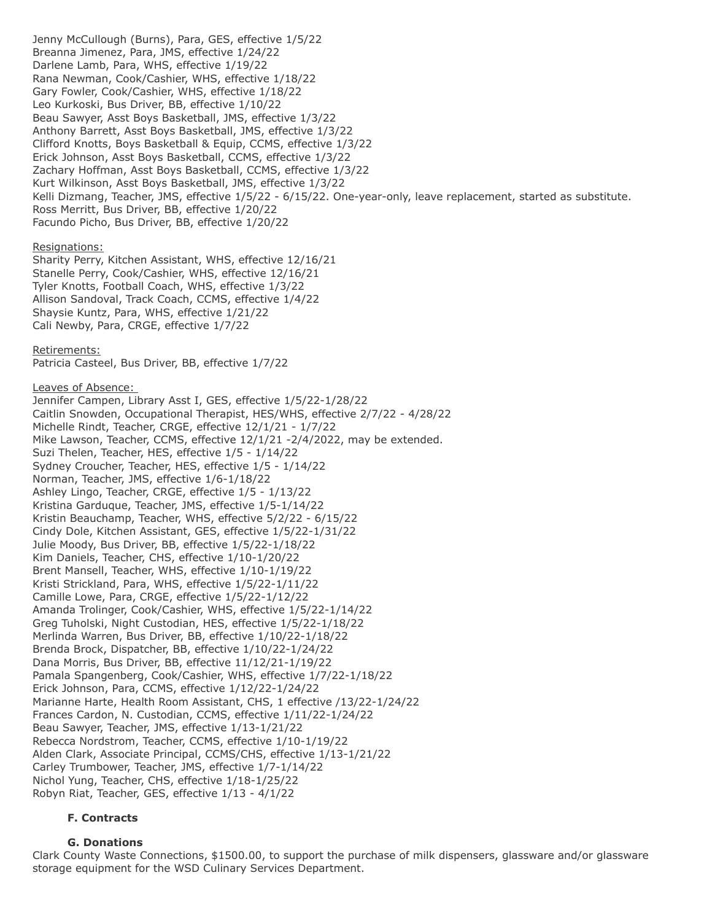Jenny McCullough (Burns), Para, GES, effective 1/5/22 Breanna Jimenez, Para, JMS, effective 1/24/22 Darlene Lamb, Para, WHS, effective 1/19/22 Rana Newman, Cook/Cashier, WHS, effective 1/18/22 Gary Fowler, Cook/Cashier, WHS, effective 1/18/22 Leo Kurkoski, Bus Driver, BB, effective 1/10/22 Beau Sawyer, Asst Boys Basketball, JMS, effective 1/3/22 Anthony Barrett, Asst Boys Basketball, JMS, effective 1/3/22 Clifford Knotts, Boys Basketball & Equip, CCMS, effective 1/3/22 Erick Johnson, Asst Boys Basketball, CCMS, effective 1/3/22 Zachary Hoffman, Asst Boys Basketball, CCMS, effective 1/3/22 Kurt Wilkinson, Asst Boys Basketball, JMS, effective 1/3/22 Kelli Dizmang, Teacher, JMS, effective 1/5/22 - 6/15/22. One-year-only, leave replacement, started as substitute. Ross Merritt, Bus Driver, BB, effective 1/20/22 Facundo Picho, Bus Driver, BB, effective 1/20/22

#### Resignations:

Sharity Perry, Kitchen Assistant, WHS, effective 12/16/21 Stanelle Perry, Cook/Cashier, WHS, effective 12/16/21 Tyler Knotts, Football Coach, WHS, effective 1/3/22 Allison Sandoval, Track Coach, CCMS, effective 1/4/22 Shaysie Kuntz, Para, WHS, effective 1/21/22 Cali Newby, Para, CRGE, effective 1/7/22

#### Retirements:

Patricia Casteel, Bus Driver, BB, effective 1/7/22

#### Leaves of Absence:

Jennifer Campen, Library Asst I, GES, effective 1/5/22-1/28/22 Caitlin Snowden, Occupational Therapist, HES/WHS, effective 2/7/22 - 4/28/22 Michelle Rindt, Teacher, CRGE, effective 12/1/21 - 1/7/22 Mike Lawson, Teacher, CCMS, effective 12/1/21 -2/4/2022, may be extended. Suzi Thelen, Teacher, HES, effective 1/5 - 1/14/22 Sydney Croucher, Teacher, HES, effective 1/5 - 1/14/22 Norman, Teacher, JMS, effective 1/6-1/18/22 Ashley Lingo, Teacher, CRGE, effective 1/5 - 1/13/22 Kristina Garduque, Teacher, JMS, effective 1/5-1/14/22 Kristin Beauchamp, Teacher, WHS, effective 5/2/22 - 6/15/22 Cindy Dole, Kitchen Assistant, GES, effective 1/5/22-1/31/22 Julie Moody, Bus Driver, BB, effective 1/5/22-1/18/22 Kim Daniels, Teacher, CHS, effective 1/10-1/20/22 Brent Mansell, Teacher, WHS, effective 1/10-1/19/22 Kristi Strickland, Para, WHS, effective 1/5/22-1/11/22 Camille Lowe, Para, CRGE, effective 1/5/22-1/12/22 Amanda Trolinger, Cook/Cashier, WHS, effective 1/5/22-1/14/22 Greg Tuholski, Night Custodian, HES, effective 1/5/22-1/18/22 Merlinda Warren, Bus Driver, BB, effective 1/10/22-1/18/22 Brenda Brock, Dispatcher, BB, effective 1/10/22-1/24/22 Dana Morris, Bus Driver, BB, effective 11/12/21-1/19/22 Pamala Spangenberg, Cook/Cashier, WHS, effective 1/7/22-1/18/22 Erick Johnson, Para, CCMS, effective 1/12/22-1/24/22 Marianne Harte, Health Room Assistant, CHS, 1 effective /13/22-1/24/22 Frances Cardon, N. Custodian, CCMS, effective 1/11/22-1/24/22 Beau Sawyer, Teacher, JMS, effective 1/13-1/21/22 Rebecca Nordstrom, Teacher, CCMS, effective 1/10-1/19/22 Alden Clark, Associate Principal, CCMS/CHS, effective 1/13-1/21/22 Carley Trumbower, Teacher, JMS, effective 1/7-1/14/22 Nichol Yung, Teacher, CHS, effective 1/18-1/25/22 Robyn Riat, Teacher, GES, effective 1/13 - 4/1/22

### **F. Contracts**

### **G. Donations**

Clark County Waste Connections, \$1500.00, to support the purchase of milk dispensers, glassware and/or glassware storage equipment for the WSD Culinary Services Department.